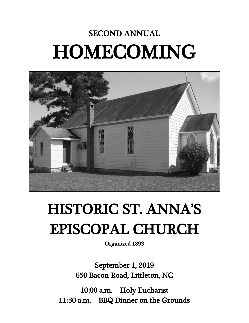# SECOND ANNUAL HOMECOMING



# HISTORIC ST. ANNA'S EPISCOPAL CHURCH

Organized 1893

September 1, 2019 650 Bacon Road, Littleton, NC

10:00 a.m. – Holy Eucharist 11:30 a.m. – BBQ Dinner on the Grounds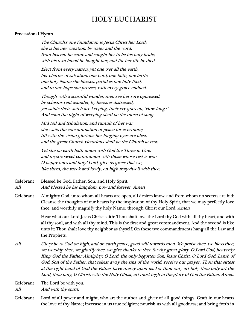# HOLY EUCHARIST

#### Processional Hymn

 The Church's one foundation is Jesus Christ her Lord; she is his new creation, by water and the word; from heaven he came and sought her to be his holy bride; with his own blood he bought her, and for her life he died.

Elect from every nation, yet one o'er all the earth, her charter of salvation, one Lord, one faith, one birth; one holy Name she blesses, partakes one holy food, and to one hope she presses, with every grace endued.

Though with a scornful wonder, men see her sore oppressed, by schisms rent asunder, by heresies distressed, yet saints their watch are keeping, their cry goes up, "How long?" And soon the night of weeping shall be the morn of song.

Mid toil and tribulation, and tumult of her war she waits the consummation of peace for evermore; till with the vision glorious her longing eyes are blest, and the great Church victorious shall be the Church at rest.

Yet she on earth hath union with God the Three in One, and mystic sweet communion with those whose rest is won. O happy ones and holy! Lord, give us grace that we, like them, the meek and lowly, on high may dwell with thee.

Celebrant Blessed be God: Father, Son, and Holy Spirit. All And blessed be his kingdom, now and forever. Amen

Celebrant Almighty God, unto whom all hearts are open, all desires know, and from whom no secrets are hid: Cleanse the thoughts of our hearts by the inspiration of thy Holy Spirit, that we may perfectly love thee, and worthily magnify thy holy Name; through Christ our Lord. Amen.

> Hear what our Lord Jesus Christ saith: Thou shalt love the Lord thy God with all thy heart, and with all thy soul, and with all thy mind. This is the first and great commandment. And the second is like unto it: Thou shalt love thy neighbor as thyself. On these two commandments hang all the Law and the Prophets.

All Glory be to God on high, and on earth peace, good will towards men. We praise thee, we bless thee, we worship thee, we glorify thee, we give thanks to thee for thy great glory. O Lord God, heavenly King God the Father Almighty. O Lord, the only begotten Son, Jesus Christ, O Lord God, Lamb of God, Son of the Father, that takest away the sins of the world, receive our prayer. Thou that sittest at the right hand of God the Father have mercy upon us. For thou only art holy thou only art the Lord, thou only, O Christ, with the Holy Ghost, art most high in the glory of God the Father. Amen.

Celebrant The Lord be with you.

All And with thy spirit.

Celebrant Lord of all power and might, who art the author and giver of all good things: Graft in our hearts the love of thy Name; increase in us true religion; nourish us with all goodness; and bring forth in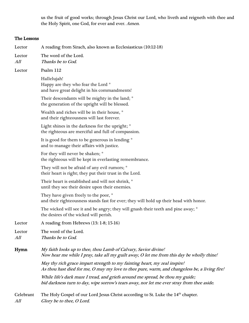us the fruit of good works; through Jesus Christ our Lord, who liveth and reigneth with thee and the Holy Spirit, one God, for ever and ever. Amen.

## The Lessons

| Lector           | A reading from Sirach, also known as Ecclesiasticus (10:12-18)                                                                                                               |
|------------------|------------------------------------------------------------------------------------------------------------------------------------------------------------------------------|
| Lector<br>All    | The word of the Lord.<br>Thanks be to God.                                                                                                                                   |
| Lector           | Psalm 112                                                                                                                                                                    |
|                  | Hallelujah!<br>Happy are they who fear the Lord *<br>and have great delight in his commandments!                                                                             |
|                  | Their descendants will be mighty in the land; *<br>the generation of the upright will be blessed.                                                                            |
|                  | Wealth and riches will be in their house, *<br>and their righteousness will last forever.                                                                                    |
|                  | Light shines in the darkness for the upright; *<br>the righteous are merciful and full of compassion.                                                                        |
|                  | It is good for them to be generous in lending *<br>and to manage their affairs with justice.                                                                                 |
|                  | For they will never be shaken; *<br>the righteous will be kept in everlasting remembrance.                                                                                   |
|                  | They will not be afraid of any evil rumors; *<br>their heart is right; they put their trust in the Lord.                                                                     |
|                  | Their heart is established and will not shrink, *<br>until they see their desire upon their enemies.                                                                         |
|                  | They have given freely to the poor, *<br>and their righteousness stands fast for ever; they will hold up their head with honor.                                              |
|                  | The wicked will see it and be angry; they will gnash their teeth and pine away; *<br>the desires of the wicked will perish.                                                  |
| Lector           | A reading from Hebrews (13: 1-8; 15-16)                                                                                                                                      |
| Lector<br>All    | The word of the Lord.<br>Thanks be to God.                                                                                                                                   |
| Hymn             | My faith looks up to thee, thou Lamb of Calvary, Savior divine!<br>Now hear me while I pray, take all my guilt away, O let me from this day be wholly thine!                 |
|                  | May thy rich grace impart strength to my fainting heart, my zeal inspire!<br>As thou hast died for me, O may my love to thee pure, warm, and changeless be, a living fire!   |
|                  | While life's dark maze I tread, and griefs around me spread, be thou my guide;<br>bid darkness turn to day, wipe sorrow's tears away, nor let me ever stray from thee aside. |
| Celebrant<br>All | The Holy Gospel of our Lord Jesus Christ according to St. Luke the 14 <sup>th</sup> chapter.<br>Glory be to thee, O Lord.                                                    |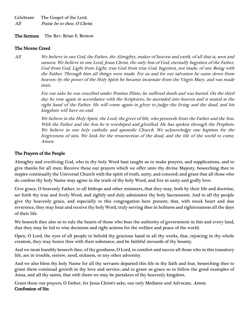Celebrant The Gospel of the Lord. All Praise be to thee, O Christ.

The Sermon The Rev. Brian E. Benton

## The Nicene Creed

All We believe in one God, the Father, the Almighty, maker of heaven and earth, of all that is, seen and unseen. We believe in one Lord, Jesus Christ, the only Son of God, eternally begotten of the Father, God from God, Light from Light, true God from true God, begotten, not made, of one Being with the Father. Through him all things were made. For us and for our salvation he came down from heaven: by the power of the Holy Spirit he became incarnate from the Virgin Mary, and was made man.

> For our sake he was crucified under Pontius Pilate; he suffered death and was buried. On the third day he rose again in accordance with the Scriptures; he ascended into heaven and is seated at the right hand of the Father. He will come again in glory to judge the living and the dead, and his kingdom will have no end.

> We believe in the Holy Spirit, the Lord, the giver of life, who proceeds from the Father and the Son. With the Father and the Son he is worshiped and glorified. He has spoken through the Prophets. We believe in one holy catholic and apostolic Church. We acknowledge one baptism for the forgiveness of sins. We look for the resurrection of the dead, and the life of the world to come. Amen.

# The Prayers of the People

Almighty and everliving God, who in thy holy Word hast taught us to make prayers, and supplications, and to give thanks for all men: Receive these our prayers which we offer unto thy divine Majesty, beseeching thee to inspire continually the Universal Church with the spirit of truth, unity, and concord; and grant that all those who do confess thy holy Name may agree in the truth of thy holy Word, and live in unity and godly love.

Give grace, O heavenly Father, to all bishops and other ministers, that they may, both by their life and doctrine, set forth thy true and lively Word, and rightly and duly administer thy holy Sacraments. And to all thy people give thy heavenly grace, and especially to this congregation here present; that, with meek heart and due reverence, they may hear and receive thy holy Word, truly serving thee in holiness and righteousness all the days of their life.

We beseech thee also so to rule the hearts of those who bear the authority of government in this and every land, that they may be led to wise decisions and right actions for the welfare and peace of the world.

Open, O Lord, the eyes of all people to behold thy gracious hand in all thy works, that, rejoicing in thy whole creation, they may honor thee with their substance, and be faithful stewards of thy bounty.

And we most humbly beseech thee, of thy goodness, O Lord, to comfort and succor all those who in this transitory life, are in trouble, sorrow, need, sickness, or any other adversity.

And we also bless thy holy Name for all thy servants departed this life in thy faith and fear, beseeching thee to grant them continual growth in thy love and service; and to grant us grace so to follow the good examples of Anna, and all thy saints, that with them we may be partakers of thy heavenly kingdom.

Grant these our prayers, O Father, for Jesus Christ's sake, our only Mediator and Advocate. Amen. Confession of Sin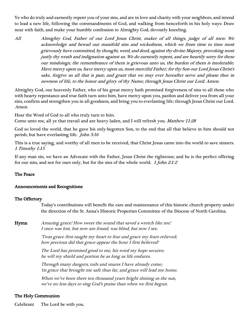Ye who do truly and earnestly repent you of your sins, and are in love and charity with your neighbors, and intend to lead a new life, following the commandments of God, and walking from henceforth in his holy ways: Draw near with faith, and make your humble confession to Almighty God, devoutly kneeling.

All Almighty God, Father of our Lord Jesus Christ, maker of all things, judge of all men: We acknowledge and bewail our manifold sins and wickedness, which we from time to time most grievously have committed, by thought, word, and deed, against thy divine Majesty, provoking most justly thy wrath and indignation against us. We do earnestly repent, and are heartily sorry for these our misdoings; the remembrance of them is grievous unto us, the burden of them is intolerable. Have mercy upon us, have mercy upon us, most merciful Father; for thy Son our Lord Jesus Christ's sake, forgive us all that is past; and grant that we may ever hereafter serve and please thee in newness of life, to the honor and glory of thy Name; through Jesus Christ our Lord. Amen.

Almighty God, our heavenly Father, who of his great mercy hath promised forgiveness of sins to all those who with hearty repentance and true faith turn unto him, have mercy upon you, pardon and deliver you from all your sins, confirm and strengthen you in all goodness, and bring you to everlasting life; through Jesus Christ our Lord. Amen.

Hear the Word of God to all who truly turn to him.

Come unto me, all ye that travail and are heavy laden, and I will refresh you. Matthew 11:28

God so loved the world, that he gave his only-begotten Son, to the end that all that believe in him should not perish, but have everlasting life. John 3:16

This is a true saying, and worthy of all men to be received, that Christ Jesus came into the world to save sinners. 1 Timothy 1:15

If any man sin, we have an Advocate with the Father, Jesus Christ the righteous; and he is the perfect offering for our sins, and not for ours only, but for the sins of the whole world. 1 John 2:1-2

# The Peace

## Announcements and Recognitions

## The Offertory

Today's contributions will benefit the care and maintenance of this historic church property under the direction of the St. Anna's Historic Properties Committee of the Diocese of North Carolina.

Hymn Amazing grace! How sweet the sound that saved a wretch like me! I once was lost, but now am found, was blind, but now I see.

> 'Twas grace first taught my heart to fear and grace my fears relieved; how precious did that grace appear the hour I first believed!

The Lord has promised good to me, his word my hope secures; he will my shield and portion be as long as life endures.

Through many dangers, toils and snares I have already come; 'tis grace that brought me safe thus far, and grace will lead me home.

When we've been there ten thousand years bright shining as the sun, we've no less days to sing God's praise than when we first begun.

## The Holy Communion

Celebrant The Lord be with you.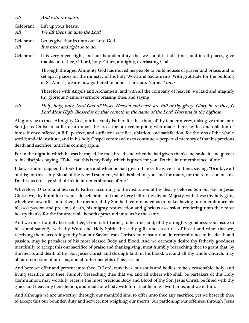| All              | And with thy spirit.                                                                                                                                                                                                                                                          |
|------------------|-------------------------------------------------------------------------------------------------------------------------------------------------------------------------------------------------------------------------------------------------------------------------------|
| Celebrant<br>All | Lift up your hearts.<br>We lift them up unto the Lord.                                                                                                                                                                                                                        |
| Celebrant<br>All | Let us give thanks unto our Lord God.<br>It is meet and right so to do.                                                                                                                                                                                                       |
| Celebrant        | It is very meet, right, and our bounden duty, that we should at all times, and in all places, give<br>thanks unto thee, O Lord, holy Father, almighty, everlasting God.                                                                                                       |
|                  | Through the ages, Almighty God has moved his people to build houses of prayer and praise, and to<br>set apart places for the ministry of his holy Word and Sacraments. With gratitude for the building<br>of St. Anna's, we are now gathered to honor it in God's Name. Amen. |
|                  | Therefore with Angels and Archangels, and with all the company of heaven, we laud and magnify<br>thy glorious Name; evermore praising thee, and saying,                                                                                                                       |

All Holy, holy, holy, Lord God of Hosts: Heaven and earth are full of thy glory. Glory be to thee, O Lord Most High. Blessed is he that cometh in the name of the Lord. Hosanna in the highest.

All glory be to thee, Almighty God, our heavenly Father, for that thou, of thy tender mercy, didst give thine only Son Jesus Christ to suffer death upon the cross for our redemption; who made there, by his one oblation of himself once offered, a full, perfect, and sufficient sacrifice, oblation, and satisfaction, for the sins of the whole world; and did institute, and in his holy Gospel command us to continue, a perpetual memory of that his precious death and sacrifice, until his coming again.

For in the night in which he was betrayed, he took bread; and when he had given thanks, he brake it, and gave it to his disciples, saying, "Take, eat, this is my Body, which is given for you. Do this in remembrance of me."

Likewise, after supper, he took the cup; and when he had given thanks, he gave it to them, saying, "Drink ye all of this; for this is my Blood of the New Testament, which is shed for you, and for many, for the remission of sins. Do this, as oft as ye shall drink it, in remembrance of me."

Wherefore, O Lord and heavenly Father, according to the institution of thy dearly beloved Son our Savior Jesus Christ, we, thy humble servants, do celebrate and make here before thy divine Majesty, with these thy holy gifts, which we now offer unto thee, the memorial thy Son hath commanded us to make; having in remembrance his blessed passion and precious death, his mighty resurrection and glorious ascension; rendering unto thee most hearty thanks for the innumerable benefits procured unto us by the same.

And we most humbly beseech thee, O merciful Father, to hear us; and, of thy almighty goodness, vouchsafe to bless and sanctify, with thy Word and Holy Spirit, these thy gifts and creatures of bread and wine; that we, receiving them according to thy Son our Savior Jesus Christ's holy institution, in remembrance of his death and passion, may be partakers of his most blessed Body and Blood. And we earnestly desire thy fatherly goodness mercifully to accept this our sacrifice of praise and thanksgiving; most humbly beseeching thee to grant that, by the merits and death of thy Son Jesus Christ, and through faith in his blood, we, and all thy whole Church, may obtain remission of our sins, and all other benefits of his passion.

And here we offer and present unto thee, O Lord, ourselves, our souls and bodies, to be a reasonable, holy, and living sacrifice unto thee; humbly beseeching thee that we, and all others who shall be partakers of this Holy Communion, may worthily receive the most precious Body and Blood of thy Son Jesus Christ, be filled with thy grace and heavenly benediction, and made one body with him, that he may dwell in us, and we in him.

And although we are unworthy, through our manifold sins, to offer unto thee any sacrifice, yet we beseech thee to accept this our bounden duty and service, not weighing our merits, but pardoning our offenses, through Jesus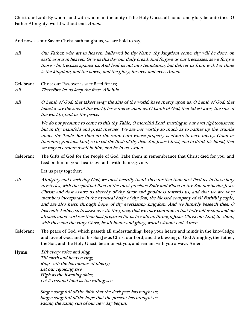Christ our Lord; By whom, and with whom, in the unity of the Holy Ghost, all honor and glory be unto thee, O Father Almighty, world without end. Amen.

And now, as our Savior Christ hath taught us, we are bold to say,

- All Our Father, who art in heaven, hallowed be thy Name, thy kingdom come, thy will be done, on earth as it is in heaven. Give us this day our daily bread. And forgive us our trespasses, as we forgive those who trespass against us. And lead us not into temptation, but deliver us from evil. For thine is the kingdom, and the power, and the glory, for ever and ever. Amen.
- Celebrant Christ our Passover is sacrificed for us; All Therefore let us keep the feast. Alleluia.
- All O Lamb of God, that takest away the sins of the world, have mercy upon us. O Lamb of God, that takest away the sins of the world, have mercy upon us. O Lamb of God, that takest away the sins of the world, grant us thy peace.

We do not presume to come to this thy Table, O merciful Lord, trusting in our own righteousness, but in thy manifold and great mercies. We are not worthy so much as to gather up the crumbs under thy Table. But thou art the same Lord whose property is always to have mercy. Grant us therefore, gracious Lord, so to eat the flesh of thy dear Son Jesus Christ, and to drink his blood, that we may evermore dwell in him, and he in us. Amen.

Celebrant The Gifts of God for the People of God. Take them in remembrance that Christ died for you, and feed on him in your hearts by faith, with thanksgiving.

Let us pray together:

- All Almighty and everliving God, we most heartily thank thee for that thou dost feed us, in these holy mysteries, with the spiritual food of the most precious Body and Blood of thy Son our Savior Jesus Christ; and dost assure us thereby of thy favor and goodness towards us; and that we are very members incorporate in the mystical body of thy Son, the blessed company of all faithful people; and are also heirs, through hope, of thy everlasting kingdom. And we humbly beseech thee, O heavenly Father, so to assist us with thy grace, that we may continue in that holy fellowship, and do all such good works as thou hast prepared for us to walk in; through Jesus Christ our Lord, to whom, with thee and the Holy Ghost, be all honor and glory, world without end. Amen.
- Celebrant The peace of God, which passeth all understanding, keep your hearts and minds in the knowledge and love of God, and of his Son Jesus Christ our Lord; and the blessing of God Almighty, the Father, the Son, and the Holy Ghost, be amongst you, and remain with you always. Amen.
- Hymn Lift every voice and sing, Till earth and heaven ring, Ring with the harmonies of liberty; Let our rejoicing rise High as the listening skies, Let it resound loud as the rolling sea.

Sing a song full of the faith that the dark past has taught us, Sing a song full of the hope that the present has brought us. Facing the rising sun of our new day begun,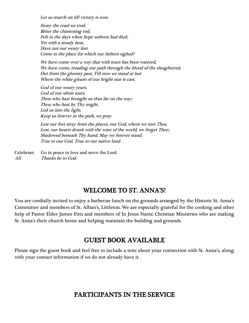Let us march on till victory is won.

Stony the road we trod, Bitter the chastening rod, Felt in the days when hope unborn had died; Yet with a steady beat, Have not our weary feet Come to the place for which our fathers sighed?

We have come over a way that with tears has been watered, We have come, treading our path through the blood of the slaughtered, Out from the gloomy past, Till now we stand at last Where the white gleam of our bright star is cast.

God of our weary years, God of our silent tears, Thou who hast brought us thus far on the way; Thou who hast by Thy might, Led us into the light, Keep us forever in the path, we pray.

Lest our feet stray from the places, our God, where we met Thee, Lest, our hearts drunk with the wine of the world, we forget Thee; Shadowed beneath Thy hand, May we forever stand. True to our God, True to our native land.

Celebrant Go in peace to love and serve the Lord. All Thanks be to God*.*

# WELCOME TO ST. ANNA'S!

You are cordially invited to enjoy a barbecue lunch on the grounds arranged by the Historic St. Anna's Committee and members of St. Alban's, Littleton. We are especially grateful for the cooking and other help of Pastor Elder James Fitts and members of In Jesus Name Christian Ministries who are making St. Anna's their church home and helping maintain the building and grounds.

# GUEST BOOK AVAILABLE

Please sign the guest book and feel free to include a note about your connection with St. Anna's, along with your contact information if we do not already have it.

# PARTICIPANTS IN THE SERVICE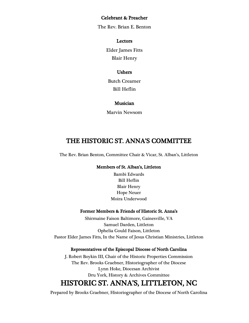### Celebrant & Preacher

The Rev. Brian E. Benton

#### Lectors

Elder James Fitts Blair Henry

#### Ushers

Butch Creamer Bill Heflin

## Musician

Marvin Newsom

# THE HISTORIC ST. ANNA'S COMMITTEE

The Rev. Brian Benton, Committee Chair & Vicar, St. Alban's, Littleton

#### Members of St. Alban's, Littleton

Bambi Edwards Bill Heflin Blair Henry Hope Neuer Moira Underwood

#### Former Members & Friends of Historic St. Anna's

Shirmaine Faison Baltimore, Gainesville, VA Samuel Darden, Littleton Ophelia Gould Faison, Littleton Pastor Elder James Fitts, In the Name of Jesus Christian Ministries, Littleton

#### Representatives of the Episcopal Diocese of North Carolina

J. Robert Boykin III, Chair of the Historic Properties Commission The Rev. Brooks Graebner, Historiographer of the Diocese Lynn Hoke, Diocesan Archivist Dru York, History & Archives Committee

# HISTORIC ST. ANNA'S, LITTLETON, NC

Prepared by Brooks Graebner, Historiographer of the Diocese of North Carolina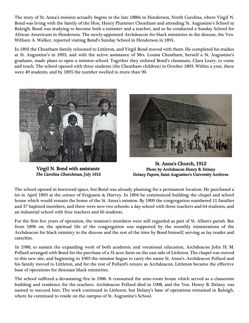The story of St. Anna's mission actually begins in the late 1880s in Henderson, North Carolina, where Virgil N. Bond was living with the family of the Hon. Henry Plummer Cheatham and attending St. Augustine's School in Raleigh. Bond was studying to become both a minister and a teacher, and so he conducted a Sunday School for African Americans in Henderson. The newly-appointed Archdeacon for black ministries in the diocese, the Ven. William A. Walker, reported visiting Bond's Sunday School in Henderson in 1891.

In 1892 the Cheatham family relocated to Littleton, and Virgil Bond moved with them. He completed his studies at St. Augustine's in 1893, and with the active assistance of Mrs. Louisa Cheatham, herself a St. Augustine's graduate, made plans to open a mission school. Together they enlisted Bond's classmate, Clara Leary, to come and teach. The school opened with three students (the Cheatham children) in October 1893. Within a year, there were 49 students, and by 1895 the number swelled to more than 90.



Virgil N. Bond with assistants The Carolina Churchman, July 1912



St. Anna's Church, 1912 Photo by Archdeacon Henry B. Delany Delany Papers, Saint Augustine's University Archives

The school opened in borrowed space, but Bond was already planning for a permanent location. He purchased a lot in April 1893 at the corner of Ferguson & Harvey. In 1894 he commenced building the chapel and school house which would remain the home of the St. Anna's mission. By 1899 the congregation numbered 11 families and 37 baptized members, and there were now two schools: a day school with three teachers and 64 students, and an industrial school with four teachers and 66 students.

For the first few years of operation, the mission's members were still regarded as part of St. Alban's parish. But from 1896 on, the spiritual life of the congregation was supported by the monthly ministrations of the Archdeacon for black ministry in the diocese and the rest of the time by Bond himself, serving as lay reader and catechist.

In 1900, to sustain the expanding work of both academic and vocational education, Archdeacon John H. M. Pollard arranged with Bond for the purchase of a 31-acre farm on the east side of Littleton. The chapel was moved to this new site, and beginning in 1903 the mission began to carry the name St. Anna's. Archdeacon Pollard and his family moved to Littleton, and for the rest of Pollard's tenure as Archdeacon, Littleton became the effective base of operations for diocesan black ministries.

The school suffered a devastating fire in 1906. It consumed the nine-room house which served as a classroom building and residence for the teachers. Archdeacon Pollard died in 1908, and the Ven. Henry B. Delany was named to succeed him. The work continued in Littleton, but Delany's base of operations remained in Raleigh, where he continued to reside on the campus of St. Augustine's School.